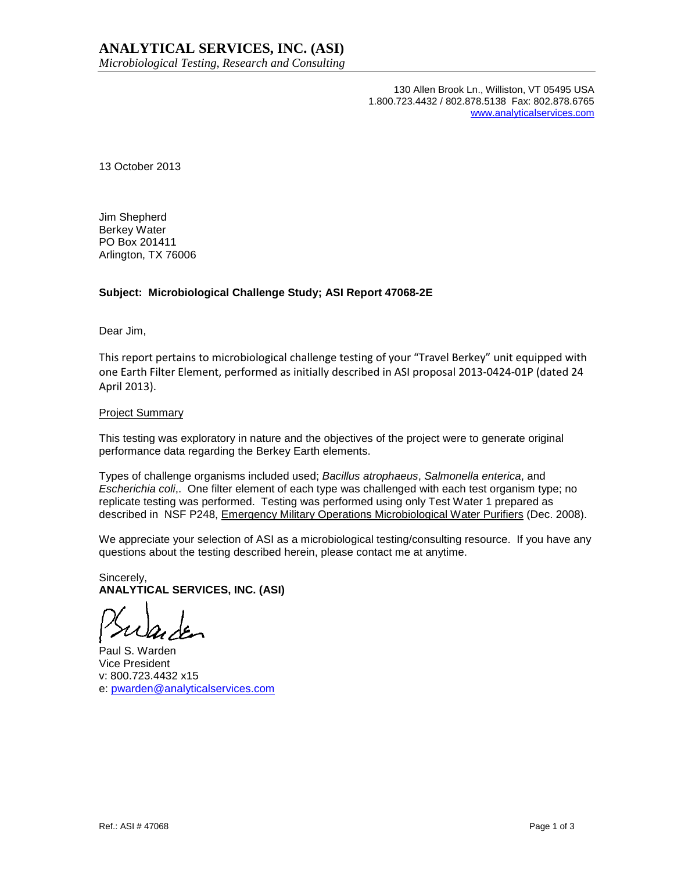130 Allen Brook Ln., Williston, VT 05495 USA 1.800.723.4432 / 802.878.5138 Fax: 802.878.6765 www.analyticalservices.com

13 October 2013

Jim Shepherd Berkey Water PO Box 201411 Arlington, TX 76006

### **Subject: Microbiological Challenge Study; ASI Report 47068-2E**

Dear Jim,

This report pertains to microbiological challenge testing of your "Travel Berkey" unit equipped with one Earth Filter Element, performed as initially described in ASI proposal 2013-0424-01P (dated 24 April 2013).

### Project Summary

This testing was exploratory in nature and the objectives of the project were to generate original performance data regarding the Berkey Earth elements.

Types of challenge organisms included used; Bacillus atrophaeus, Salmonella enterica, and Escherichia coli,. One filter element of each type was challenged with each test organism type; no replicate testing was performed. Testing was performed using only Test Water 1 prepared as described in NSF P248, Emergency Military Operations Microbiological Water Purifiers (Dec. 2008).

We appreciate your selection of ASI as a microbiological testing/consulting resource. If you have any questions about the testing described herein, please contact me at anytime.

Sincerely, **ANALYTICAL SERVICES, INC. (ASI)** 

Paul S. Warden Vice President v: 800.723.4432 x15 e: pwarden@analyticalservices.com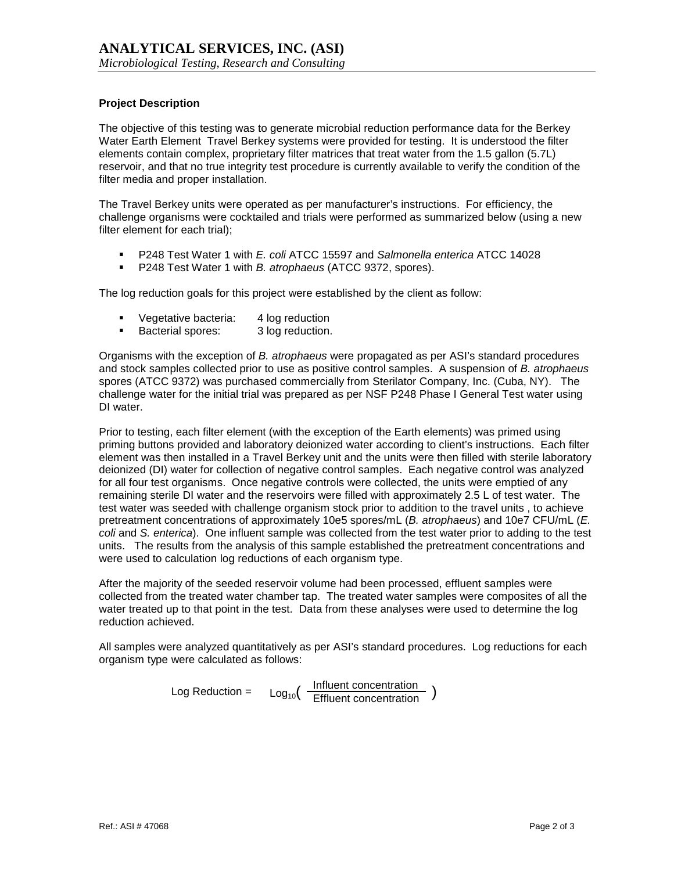# **Project Description**

The objective of this testing was to generate microbial reduction performance data for the Berkey Water Earth Element Travel Berkey systems were provided for testing. It is understood the filter elements contain complex, proprietary filter matrices that treat water from the 1.5 gallon (5.7L) reservoir, and that no true integrity test procedure is currently available to verify the condition of the filter media and proper installation.

The Travel Berkey units were operated as per manufacturer's instructions. For efficiency, the challenge organisms were cocktailed and trials were performed as summarized below (using a new filter element for each trial);

- P248 Test Water 1 with E. coli ATCC 15597 and Salmonella enterica ATCC 14028
- P248 Test Water 1 with *B. atrophaeus* (ATCC 9372, spores).

The log reduction goals for this project were established by the client as follow:

- Vegetative bacteria: 4 log reduction
- **Bacterial spores:** 3 log reduction.

Organisms with the exception of B. atrophaeus were propagated as per ASI's standard procedures and stock samples collected prior to use as positive control samples. A suspension of B. atrophaeus spores (ATCC 9372) was purchased commercially from Sterilator Company, Inc. (Cuba, NY). The challenge water for the initial trial was prepared as per NSF P248 Phase I General Test water using DI water.

Prior to testing, each filter element (with the exception of the Earth elements) was primed using priming buttons provided and laboratory deionized water according to client's instructions. Each filter element was then installed in a Travel Berkey unit and the units were then filled with sterile laboratory deionized (DI) water for collection of negative control samples. Each negative control was analyzed for all four test organisms. Once negative controls were collected, the units were emptied of any remaining sterile DI water and the reservoirs were filled with approximately 2.5 L of test water. The test water was seeded with challenge organism stock prior to addition to the travel units , to achieve pretreatment concentrations of approximately 10e5 spores/mL (B. atrophaeus) and 10e7 CFU/mL (E. coli and S. enterica). One influent sample was collected from the test water prior to adding to the test units. The results from the analysis of this sample established the pretreatment concentrations and were used to calculation log reductions of each organism type.

After the majority of the seeded reservoir volume had been processed, effluent samples were collected from the treated water chamber tap. The treated water samples were composites of all the water treated up to that point in the test. Data from these analyses were used to determine the log reduction achieved.

All samples were analyzed quantitatively as per ASI's standard procedures. Log reductions for each organism type were calculated as follows:

$$
Log Reduction = Log_{10}(\frac{Influent concentration}{Effluent concentration})
$$